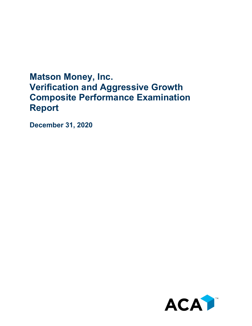## **Matson Money, Inc. Verification and Aggressive Growth Composite Performance Examination Report**

**December 31, 2020**

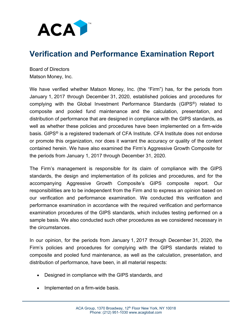

## **Verification and Performance Examination Report**

Board of Directors Matson Money, Inc.

We have verified whether Matson Money, Inc. (the "Firm") has, for the periods from January 1, 2017 through December 31, 2020, established policies and procedures for complying with the Global Investment Performance Standards (GIPS®) related to composite and pooled fund maintenance and the calculation, presentation, and distribution of performance that are designed in compliance with the GIPS standards, as well as whether these policies and procedures have been implemented on a firm-wide basis. GIPS® is a registered trademark of CFA Institute. CFA Institute does not endorse or promote this organization, nor does it warrant the accuracy or quality of the content contained herein. We have also examined the Firm's Aggressive Growth Composite for the periods from January 1, 2017 through December 31, 2020.

The Firm's management is responsible for its claim of compliance with the GIPS standards, the design and implementation of its policies and procedures, and for the accompanying Aggressive Growth Composite's GIPS composite report. Our responsibilities are to be independent from the Firm and to express an opinion based on our verification and performance examination. We conducted this verification and performance examination in accordance with the required verification and performance examination procedures of the GIPS standards, which includes testing performed on a sample basis. We also conducted such other procedures as we considered necessary in the circumstances.

In our opinion, for the periods from January 1, 2017 through December 31, 2020, the Firm's policies and procedures for complying with the GIPS standards related to composite and pooled fund maintenance, as well as the calculation, presentation, and distribution of performance, have been, in all material respects:

- Designed in compliance with the GIPS standards, and
- Implemented on a firm-wide basis.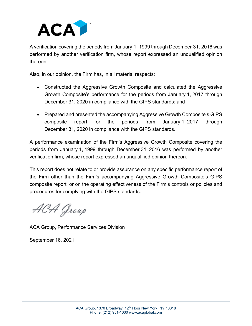

A verification covering the periods from January 1, 1999 through December 31, 2016 was performed by another verification firm, whose report expressed an unqualified opinion thereon.

Also, in our opinion, the Firm has, in all material respects:

- Constructed the Aggressive Growth Composite and calculated the Aggressive Growth Composite's performance for the periods from January 1, 2017 through December 31, 2020 in compliance with the GIPS standards; and
- Prepared and presented the accompanying Aggressive Growth Composite's GIPS composite report for the periods from January 1, 2017 through December 31, 2020 in compliance with the GIPS standards.

A performance examination of the Firm's Aggressive Growth Composite covering the periods from January 1, 1999 through December 31, 2016 was performed by another verification firm, whose report expressed an unqualified opinion thereon.

This report does not relate to or provide assurance on any specific performance report of the Firm other than the Firm's accompanying Aggressive Growth Composite's GIPS composite report, or on the operating effectiveness of the Firm's controls or policies and procedures for complying with the GIPS standards.

ACA Group

ACA Group, Performance Services Division

September 16, 2021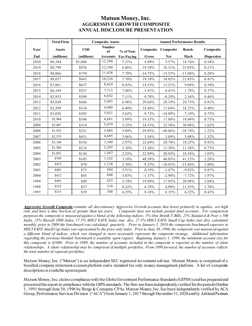## **Matson Money, Inc. AGGRESSIVE GROWTH COMPOSITE ANNUAL DISCLOSURE PRESENTATION**

|      | <b>Total Firm</b> | <b>Composite Assets</b> |                     |            | <b>Annual Performance Results</b> |                            |           |                   |
|------|-------------------|-------------------------|---------------------|------------|-----------------------------------|----------------------------|-----------|-------------------|
| Year | <b>Assets</b>     | <b>USD</b>              | <b>Number</b><br>of | % of Non-  |                                   | <b>Composite Composite</b> | Bench-    | Composite         |
| End  | (millions)        | (millions)              | <b>Accounts</b>     | Fee-Paying | Gross                             | <b>Net</b>                 | Mark      | <b>Dispersion</b> |
| 2020 | \$8,384           | \$1,006                 | 12,388              | 7.31%      | 4.49%                             | 3.57%                      | 14.74%    | 0.54%             |
| 2019 | \$8,799           | \$976                   | 12,340              | 6.86%      | 19.39%                            | 18.31%                     | 25.05%    | 0.51%             |
| 2018 | \$8,066           | \$759                   | 11,438              | 7.70%      | $-14.75%$                         | $-15.53%$                  | $-11.08%$ | 0.28%             |
| 2017 | \$8,657           | \$843                   | 10,230              | 7.70%      | 19.14%                            | 18.02%                     | 22.45%    | 0.41%             |
| 2016 | \$7,061           | \$637                   | 8,624               | 8.43%      | 14.35%                            | 13.21%                     | 9.08%     | 0.34%             |
| 2015 | \$6,169           | \$527                   | 7,713               | 7.46%      | $-3.43%$                          | $-4.41%$                   | 1.78%     | 0.37%             |
| 2014 | \$5,953           | \$509                   | 6,642               | 7.11%      | 0.78%                             | $-0.29%$                   | 2.36%     | 0.46%             |
| 2013 | \$5,020           | \$446                   | 5,493               | 6.96%      | 29.66%                            | 28.19%                     | 29.73%    | 0.81%             |
| 2012 | \$3,599           | \$334                   | 4,909               | 6.40%      | 18.48%                            | 17.04%                     | 16.72%    | 0.40%             |
| 2011 | \$3,026           | \$305                   | 5,021               | 5.62%      | $-9.73%$                          | $-10.89%$                  | $-7.10%$  | 0.75%             |
| 2010 | \$2,904           | \$346                   | 4,881               | 5.09%      | 19.53%                            | 17.88%                     | 18.04%    | 0.73%             |
| 2009 | \$2,407           | \$314                   | 5,079               | 3.25%      | 34.53%                            | 32.50%                     | 30.98%    | 1.62%             |
| 2008 | \$1,922           | \$251                   | 5,005               | 3.89%      | $-39.05%$                         | $-40.06%$                  | $-38.74%$ | 1.22%             |
| 2007 | \$2,579           | \$431                   | 4,605               | 3.86%      | 5.54%                             | 3.89%                      | 3.08%     | 1.32%             |
| 2006 | \$2,180           | \$336                   | 3,340               | 2.97%      | 22.69%                            | 20.78%                     | 18.25%    | 0.92%             |
| 2005 | \$1,504           | \$216                   | 2,285               | 3.28%      | 13.26%                            | 11.38%                     | 11.34%    | 0.73%             |
| 2004 | \$1,043           | \$144                   | 1,447               | 2.25%      | 22.89%                            | 20.93%                     | 18.58%    | 1.05%             |
| 2003 | \$709             | \$105                   | 1,162               | 3.10%      | 48.58%                            | 46.05%                     | 41.33%    | 2.28%             |
| 2002 | \$475             | \$70                    | 1,138               | 2.38%      | $-9.25%$                          | $-10.83%$                  | $-15.84%$ | 1.80%             |
| 2001 | \$482             | \$75                    | 994                 | 3.51%      | 0.19%                             | $-1.47%$                   | $-9.82%$  | 0.87%             |
| 2000 | \$432             | \$65                    | 848                 | 3.03%      | $-1.37%$                          | $-2.98%$                   | $-7.72%$  | 1.97%             |
| 1999 | \$403             | \$49                    | 653                 | 3.74%      | 19.94%                            | 17.95%                     | 20.98%    | 3.04%             |
| 1998 | \$332             | \$37                    | 310                 | 0.22%      | 6.78%                             | 4.98%                      | 11.55%    | 1.76%             |
| 1997 | \$315             | \$39                    | 308                 | 4.25%      | 8.18%                             | 6.35%                      | 6.22%     | 0.43%             |

*Aggressive Growth Composite contains all discretionary Aggressive Growth accounts that invest primarily in equities, are high risk, and have a time horizon of greater than ten years. Composite does not include pooled fund accounts. For comparison purposes the composite is measured against a blend of the following indices; 5% One Month T-Bills, 25% Standard & Poor's 500 Index, 25% Russell 2000 Index, 17.5% MSCI EAFE Index (net div), 27.5% MSCI EAFE Small Cap Index (net div), calculated monthly, prior to 2009 the benchmark was calculated quarterly. Prior to January 1, 2010 the composite benchmark exposure to MSCI EAFE Small Cap Index was represented by the price only index. Prior to June 30, 1996, the composite was measured against a different blend of indices, which was changed to more accurately represent the composite strategy. Additional information regarding the previous blended benchmark is available upon request. Beginning January 1, 1999, the minimum account size for this composite is \$1000. Prior to 1999, the number of accounts included in the composite is reported as the number of client relationships. A client relationship may be comprised of multiple portfolios. From 1999 forward, the number of accounts reflects the total number of separate portfolios.*

Matson Money, Inc. ("Matson") is an independent SEC registered investment adviser. Matson Money is comprised of a bundled company retirement account platform and a standard fee only money management platform. A list of composite descriptions is available upon request.

Matson Money, Inc. claims compliance with the Global Investment Performance Standards (GIPS®) and has prepared and presented thisreport in compliance with the GIPS standards. The firm was been independently verified for the periods October 1, 1991 through June 30, 1996 by Berge & Company CPAs. Matson Money, Inc. has been independently verified by ACA Group, Performance Services Division ("ACA") from January 1, 2017 through December 31, 2020 and by Ashland Partners